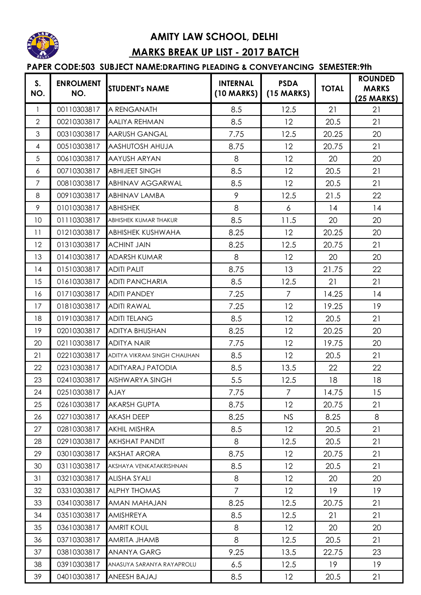

## **AMITY LAW SCHOOL, DELHI MARKS BREAK UP LIST - 2017 BATCH**

## **PAPER CODE:503 SUBJECT NAME:DRAFTING PLEADING & CONVEYANCING SEMESTER:9th**

| S.<br>NO.      | <b>ENROLMENT</b><br>NO. | <b>STUDENT's NAME</b>       | <b>INTERNAL</b><br>$(10$ MARKS) | <b>PSDA</b><br>$(15$ MARKS) | <b>TOTAL</b> | <b>ROUNDED</b><br><b>MARKS</b><br>$(25 \text{ MARKS})$ |
|----------------|-------------------------|-----------------------------|---------------------------------|-----------------------------|--------------|--------------------------------------------------------|
| 1              | 00110303817             | A RENGANATH                 | 8.5                             | 12.5                        | 21           | 21                                                     |
| $\overline{2}$ | 00210303817             | <b>AALIYA REHMAN</b>        | 8.5                             | 12                          | 20.5         | 21                                                     |
| 3              | 00310303817             | <b>AARUSH GANGAL</b>        | 7.75                            | 12.5                        | 20.25        | 20                                                     |
| $\overline{4}$ | 00510303817             | <b>AASHUTOSH AHUJA</b>      | 8.75                            | 12                          | 20.75        | 21                                                     |
| 5              | 00610303817             | <b>AAYUSH ARYAN</b>         | 8                               | 12                          | 20           | 20                                                     |
| 6              | 00710303817             | <b>ABHIJEET SINGH</b>       | 8.5                             | 12                          | 20.5         | 21                                                     |
| 7              | 00810303817             | <b>ABHINAV AGGARWAL</b>     | 8.5                             | 12                          | 20.5         | 21                                                     |
| 8              | 00910303817             | <b>ABHINAV LAMBA</b>        | 9                               | 12.5                        | 21.5         | 22                                                     |
| 9              | 01010303817             | <b>ABHISHEK</b>             | 8                               | 6                           | 14           | 14                                                     |
| 10             | 01110303817             | ABHISHEK KUMAR THAKUR       | 8.5                             | 11.5                        | 20           | 20                                                     |
| 11             | 01210303817             | <b>ABHISHEK KUSHWAHA</b>    | 8.25                            | 12                          | 20.25        | 20                                                     |
| 12             | 01310303817             | <b>ACHINT JAIN</b>          | 8.25                            | 12.5                        | 20.75        | 21                                                     |
| 13             | 01410303817             | <b>ADARSH KUMAR</b>         | 8                               | 12                          | 20           | 20                                                     |
| 14             | 01510303817             | <b>ADITI PALIT</b>          | 8.75                            | 13                          | 21.75        | 22                                                     |
| 15             | 01610303817             | <b>ADITI PANCHARIA</b>      | 8.5                             | 12.5                        | 21           | 21                                                     |
| 16             | 01710303817             | <b>ADITI PANDEY</b>         | 7.25                            | $\overline{7}$              | 14.25        | 14                                                     |
| 17             | 01810303817             | <b>ADITI RAWAL</b>          | 7.25                            | 12                          | 19.25        | 19                                                     |
| 18             | 01910303817             | <b>ADITI TELANG</b>         | 8.5                             | 12                          | 20.5         | 21                                                     |
| 19             | 02010303817             | <b>ADITYA BHUSHAN</b>       | 8.25                            | 12                          | 20.25        | 20                                                     |
| 20             | 02110303817             | <b>ADITYA NAIR</b>          | 7.75                            | 12                          | 19.75        | 20                                                     |
| 21             | 02210303817             | ADITYA VIKRAM SINGH CHAUHAN | 8.5                             | 12                          | 20.5         | 21                                                     |
| 22             | 02310303817             | <b>ADITYARAJ PATODIA</b>    | 8.5                             | 13.5                        | 22           | 22                                                     |
| 23             | 02410303817             | <b>AISHWARYA SINGH</b>      | 5.5                             | 12.5                        | 18           | 18                                                     |
| 24             | 02510303817             | <b>AJAY</b>                 | 7.75                            | $\overline{7}$              | 14.75        | 15                                                     |
| 25             | 02610303817             | <b>AKARSH GUPTA</b>         | 8.75                            | 12                          | 20.75        | 21                                                     |
| 26             | 02710303817             | <b>AKASH DEEP</b>           | 8.25                            | <b>NS</b>                   | 8.25         | 8                                                      |
| 27             | 02810303817             | <b>AKHIL MISHRA</b>         | 8.5                             | 12                          | 20.5         | 21                                                     |
| 28             | 02910303817             | <b>AKHSHAT PANDIT</b>       | 8                               | 12.5                        | 20.5         | 21                                                     |
| 29             | 03010303817             | <b>AKSHAT ARORA</b>         | 8.75                            | 12                          | 20.75        | 21                                                     |
| 30             | 03110303817             | AKSHAYA VENKATAKRISHNAN     | 8.5                             | 12                          | 20.5         | 21                                                     |
| 31             | 03210303817             | <b>ALISHA SYALI</b>         | 8                               | 12                          | 20           | 20                                                     |
| 32             | 03310303817             | <b>ALPHY THOMAS</b>         | $\overline{7}$                  | 12                          | 19           | 19                                                     |
| 33             | 03410303817             | <b>AMAN MAHAJAN</b>         | 8.25                            | 12.5                        | 20.75        | 21                                                     |
| 34             | 03510303817             | AMISHREYA                   | 8.5                             | 12.5                        | 21           | 21                                                     |
| 35             | 03610303817             | <b>AMRIT KOUL</b>           | 8                               | 12                          | 20           | 20                                                     |
| 36             | 03710303817             | AMRITA JHAMB                | 8                               | 12.5                        | 20.5         | 21                                                     |
| 37             | 03810303817             | <b>ANANYA GARG</b>          | 9.25                            | 13.5                        | 22.75        | 23                                                     |
| 38             | 03910303817             | ANASUYA SARANYA RAYAPROLU   | 6.5                             | 12.5                        | 19           | 19                                                     |
| 39             | 04010303817             | ANEESH BAJAJ                | 8.5                             | 12                          | 20.5         | 21                                                     |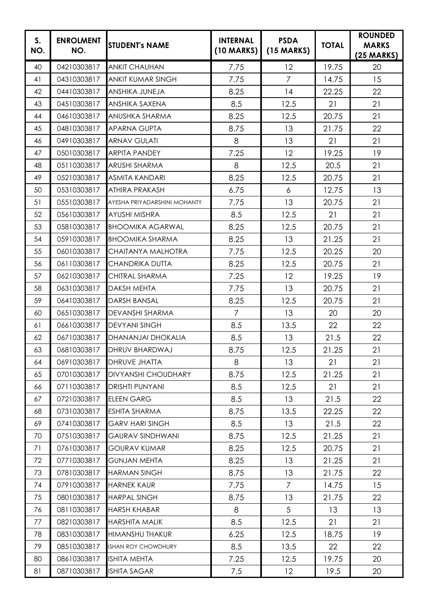| S.<br>NO. | <b>ENROLMENT</b><br>NO. | <b>STUDENT's NAME</b>        | <b>INTERNAL</b><br>(10 MARKS) | <b>PSDA</b><br>$(15$ MARKS) | <b>TOTAL</b> | <b>ROUNDED</b><br><b>MARKS</b><br>$(25 \text{ MARKS})$ |
|-----------|-------------------------|------------------------------|-------------------------------|-----------------------------|--------------|--------------------------------------------------------|
| 40        | 04210303817             | <b>ANKIT CHAUHAN</b>         | 7.75                          | 12                          | 19.75        | 20                                                     |
| 41        | 04310303817             | <b>ANKIT KUMAR SINGH</b>     | 7.75                          | $\overline{7}$              | 14.75        | 15                                                     |
| 42        | 04410303817             | ANSHIKA JUNEJA               | 8.25                          | 14                          | 22.25        | 22                                                     |
| 43        | 04510303817             | <b>ANSHIKA SAXENA</b>        | 8.5                           | 12.5                        | 21           | 21                                                     |
| 44        | 04610303817             | <b>ANUSHKA SHARMA</b>        | 8.25                          | 12.5                        | 20.75        | 21                                                     |
| 45        | 04810303817             | <b>APARNA GUPTA</b>          | 8.75                          | 13                          | 21.75        | 22                                                     |
| 46        | 04910303817             | <b>ARNAV GULATI</b>          | 8                             | 13                          | 21           | 21                                                     |
| 47        | 05010303817             | <b>ARPITA PANDEY</b>         | 7.25                          | 12                          | 19.25        | 19                                                     |
| 48        | 05110303817             | <b>ARUSHI SHARMA</b>         | 8                             | 12.5                        | 20.5         | 21                                                     |
| 49        | 05210303817             | <b>ASMITA KANDARI</b>        | 8.25                          | 12.5                        | 20.75        | 21                                                     |
| 50        | 05310303817             | <b>ATHIRA PRAKASH</b>        | 6.75                          | 6                           | 12.75        | 13                                                     |
| 51        | 05510303817             | AYESHA PRIYADARSHINI MOHANTY | 7.75                          | 13                          | 20.75        | 21                                                     |
| 52        | 05610303817             | <b>AYUSHI MISHRA</b>         | 8.5                           | 12.5                        | 21           | 21                                                     |
| 53        | 05810303817             | <b>BHOOMIKA AGARWAL</b>      | 8.25                          | 12.5                        | 20.75        | 21                                                     |
| 54        | 05910303817             | <b>BHOOMIKA SHARMA</b>       | 8.25                          | 13                          | 21.25        | 21                                                     |
| 55        | 06010303817             | CHAITANYA MALHOTRA           | 7.75                          | 12.5                        | 20.25        | 20                                                     |
| 56        | 06110303817             | <b>CHANDRIKA DUTTA</b>       | 8.25                          | 12.5                        | 20.75        | 21                                                     |
| 57        | 06210303817             | <b>CHITRAL SHARMA</b>        | 7.25                          | 12                          | 19.25        | 19                                                     |
| 58        | 06310303817             | <b>DAKSH MEHTA</b>           | 7.75                          | 13                          | 20.75        | 21                                                     |
| 59        | 06410303817             | <b>DARSH BANSAL</b>          | 8.25                          | 12.5                        | 20.75        | 21                                                     |
| 60        | 06510303817             | <b>DEVANSHI SHARMA</b>       | $\overline{7}$                | 13                          | 20           | 20                                                     |
| 61        | 06610303817             | <b>DEVYANI SINGH</b>         | 8.5                           | 13.5                        | 22           | 22                                                     |
| 62        | 06710303817             | <b>DHANANJAI DHOKALIA</b>    | 8.5                           | 13                          | 21.5         | 22                                                     |
| 63        | 06810303817             | <b>DHRUV BHARDWAJ</b>        | 8.75                          | 12.5                        | 21.25        | 21                                                     |
| 64        | 06910303817             | <b>DHRUVE JHATTA</b>         | 8                             | 13                          | 21           | 21                                                     |
| 65        | 07010303817             | <b>DIVYANSHI CHOUDHARY</b>   | 8.75                          | 12.5                        | 21.25        | 21                                                     |
| 66        | 07110303817             | <b>DRISHTI PUNYANI</b>       | 8.5                           | 12.5                        | 21           | 21                                                     |
| 67        | 07210303817             | <b>ELEEN GARG</b>            | 8.5                           | 13                          | 21.5         | 22                                                     |
| 68        | 07310303817             | <b>ESHITA SHARMA</b>         | 8.75                          | 13.5                        | 22.25        | 22                                                     |
| 69        | 07410303817             | <b>GARV HARI SINGH</b>       | 8.5                           | 13                          | 21.5         | 22                                                     |
| 70        | 07510303817             | <b>GAURAV SINDHWANI</b>      | 8.75                          | 12.5                        | 21.25        | 21                                                     |
| 71        | 07610303817             | <b>GOURAV KUMAR</b>          | 8.25                          | 12.5                        | 20.75        | 21                                                     |
| 72        | 07710303817             | <b>GUNJAN MEHTA</b>          | 8.25                          | 13                          | 21.25        | 21                                                     |
| 73        | 07810303817             | <b>HARMAN SINGH</b>          | 8.75                          | 13                          | 21.75        | 22                                                     |
| 74        | 07910303817             | <b>HARNEK KAUR</b>           | 7.75                          | $\overline{7}$              | 14.75        | 15                                                     |
| 75        | 08010303817             | <b>HARPAL SINGH</b>          | 8.75                          | 13                          | 21.75        | 22                                                     |
| 76        | 08110303817             | <b>HARSH KHABAR</b>          | 8                             | 5                           | 13           | 13                                                     |
| 77        | 08210303817             | <b>HARSHITA MALIK</b>        | 8.5                           | 12.5                        | 21           | 21                                                     |
| 78        | 08310303817             | <b>HIMANSHU THAKUR</b>       | 6.25                          | 12.5                        | 18.75        | 19                                                     |
| 79        | 08510303817             | <b>ISHAN ROY CHOWDHURY</b>   | 8.5                           | 13.5                        | 22           | 22                                                     |
| 80        | 08610303817             | <b>ISHITA MEHTA</b>          | 7.25                          | 12.5                        | 19.75        | 20                                                     |
| 81        | 08710303817             | <b>ISHITA SAGAR</b>          | 7.5                           | 12                          | 19.5         | 20                                                     |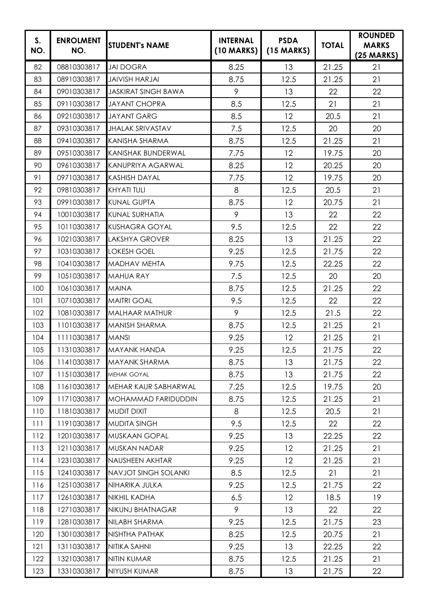| S.<br>NO. | <b>ENROLMENT</b><br>NO. | <b>STUDENT's NAME</b>       | <b>INTERNAL</b><br>(10 MARKS) | <b>PSDA</b><br>$(15$ MARKS) | <b>TOTAL</b> | <b>ROUNDED</b><br><b>MARKS</b><br>$(25 \text{ MARKS})$ |
|-----------|-------------------------|-----------------------------|-------------------------------|-----------------------------|--------------|--------------------------------------------------------|
| 82        | 08810303817             | <b>JAI DOGRA</b>            | 8.25                          | 13                          | 21.25        | 21                                                     |
| 83        | 08910303817             | <b>JAIVISH HARJAI</b>       | 8.75                          | 12.5                        | 21.25        | 21                                                     |
| 84        | 09010303817             | <b>JASKIRAT SINGH BAWA</b>  | 9                             | 13                          | 22           | 22                                                     |
| 85        | 09110303817             | <b>JAYANT CHOPRA</b>        | 8.5                           | 12.5                        | 21           | 21                                                     |
| 86        | 09210303817             | <b>JAYANT GARG</b>          | 8.5                           | 12                          | 20.5         | 21                                                     |
| 87        | 09310303817             | <b>JHALAK SRIVASTAV</b>     | 7.5                           | 12.5                        | 20           | 20                                                     |
| 88        | 09410303817             | KANISHA SHARMA              | 8.75                          | 12.5                        | 21.25        | 21                                                     |
| 89        | 09510303817             | <b>KANISHAK BUNDERWAL</b>   | 7.75                          | 12                          | 19.75        | 20                                                     |
| 90        | 09610303817             | KANUPRIYA AGARWAL           | 8.25                          | 12                          | 20.25        | 20                                                     |
| 91        | 09710303817             | <b>KASHISH DAYAL</b>        | 7.75                          | 12                          | 19.75        | 20                                                     |
| 92        | 09810303817             | <b>KHYATI TULI</b>          | 8                             | 12.5                        | 20.5         | 21                                                     |
| 93        | 09910303817             | <b>KUNAL GUPTA</b>          | 8.75                          | 12                          | 20.75        | 21                                                     |
| 94        | 10010303817             | <b>KUNAL SURHATIA</b>       | 9                             | 13                          | 22           | 22                                                     |
| 95        | 10110303817             | <b>KUSHAGRA GOYAL</b>       | 9.5                           | 12.5                        | 22           | 22                                                     |
| 96        | 10210303817             | <b>LAKSHYA GROVER</b>       | 8.25                          | 13                          | 21.25        | 22                                                     |
| 97        | 10310303817             | <b>LOKESH GOEL</b>          | 9.25                          | 12.5                        | 21.75        | 22                                                     |
| 98        | 10410303817             | <b>MADHAV MEHTA</b>         | 9.75                          | 12.5                        | 22.25        | 22                                                     |
| 99        | 10510303817             | <b>MAHUA RAY</b>            | 7.5                           | 12.5                        | 20           | 20                                                     |
| 100       | 10610303817             | <b>MAINA</b>                | 8.75                          | 12.5                        | 21.25        | 22                                                     |
| 101       | 10710303817             | <b>MAITRI GOAL</b>          | 9.5                           | 12.5                        | 22           | 22                                                     |
| 102       | 10810303817             | <b>MALHAAR MATHUR</b>       | 9                             | 12.5                        | 21.5         | 22                                                     |
| 103       | 11010303817             | <b>MANISH SHARMA</b>        | 8.75                          | 12.5                        | 21.25        | 21                                                     |
| 104       | 11110303817             | <b>MANSI</b>                | 9.25                          | 12                          | 21.25        | 21                                                     |
| 105       | 11310303817             | <b>MAYANK HANDA</b>         | 9.25                          | 12.5                        | 21.75        | 22                                                     |
| 106       | 11410303817             | MAYANK SHARMA               | 8.75                          | 13                          | 21.75        | 22                                                     |
| 107       | 11510303817             | MEHAK GOYAL                 | 8.75                          | 13                          | 21.75        | 22                                                     |
| 108       | 11610303817             | MEHAR KAUR SABHARWAL        | 7.25                          | 12.5                        | 19.75        | 20                                                     |
| 109       | 11710303817             | MOHAMMAD FARIDUDDIN         | 8.75                          | 12.5                        | 21.25        | 21                                                     |
| 110       | 11810303817             | <b>MUDIT DIXIT</b>          | 8                             | 12.5                        | 20.5         | 21                                                     |
| 111       | 11910303817             | <b>MUDITA SINGH</b>         | 9.5                           | 12.5                        | 22           | 22                                                     |
| 112       | 12010303817             | <b>MUSKAAN GOPAL</b>        | 9.25                          | 13                          | 22.25        | 22                                                     |
| 113       | 12110303817             | <b>MUSKAN NADAR</b>         | 9.25                          | 12                          | 21.25        | 21                                                     |
| 114       | 12310303817             | NAUSHEEN AKHTAR             | 9.25                          | 12                          | 21.25        | 21                                                     |
| 115       | 12410303817             | <b>NAVJOT SINGH SOLANKI</b> | 8.5                           | 12.5                        | 21           | 21                                                     |
| 116       | 12510303817             | NIHARIKA JULKA              | 9.25                          | 12.5                        | 21.75        | 22                                                     |
| 117       | 12610303817             | <b>NIKHIL KADHA</b>         | 6.5                           | 12                          | 18.5         | 19                                                     |
| 118       | 12710303817             | NIKUNJ BHATNAGAR            | 9                             | 13                          | 22           | 22                                                     |
| 119       | 12810303817             | NILABH SHARMA               | 9.25                          | 12.5                        | 21.75        | 23                                                     |
| 120       | 13010303817             | NISHTHA PATHAK              | 8.25                          | 12.5                        | 20.75        | 21                                                     |
| 121       | 13110303817             | NITIKA SAHNI                | 9.25                          | 13                          | 22.25        | 22                                                     |
| 122       | 13210303817             | NITIN KUMAR                 | 8.75                          | 12.5                        | 21.25        | 21                                                     |
| 123       | 13310303817             | NIYUSH KUMAR                | 8.75                          | 13                          | 21.75        | 22                                                     |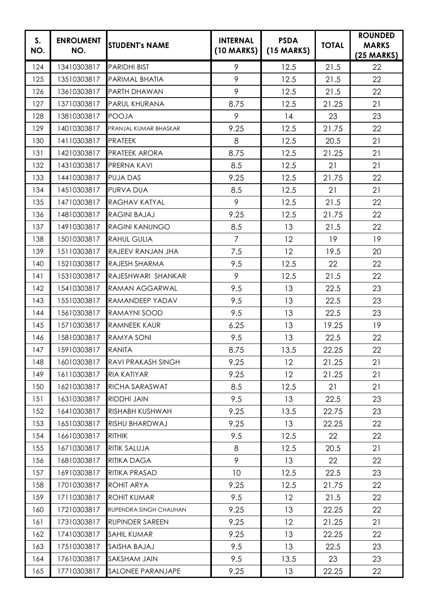| S.<br>NO. | <b>ENROLMENT</b><br>NO. | <b>STUDENT's NAME</b>  | <b>INTERNAL</b><br>$(10$ MARKS) | <b>PSDA</b><br>$(15$ MARKS) | <b>TOTAL</b> | <b>ROUNDED</b><br><b>MARKS</b><br>$(25 \text{ MARKS})$ |
|-----------|-------------------------|------------------------|---------------------------------|-----------------------------|--------------|--------------------------------------------------------|
| 124       | 13410303817             | <b>PARIDHI BIST</b>    | 9                               | 12.5                        | 21.5         | 22                                                     |
| 125       | 13510303817             | PARIMAL BHATIA         | 9                               | 12.5                        | 21.5         | 22                                                     |
| 126       | 13610303817             | <b>PARTH DHAWAN</b>    | 9                               | 12.5                        | 21.5         | 22                                                     |
| 127       | 13710303817             | PARUL KHURANA          | 8.75                            | 12.5                        | 21.25        | 21                                                     |
| 128       | 13810303817             | <b>POOJA</b>           | 9                               | 14                          | 23           | 23                                                     |
| 129       | 14010303817             | PRANJAL KUMAR BHASKAR  | 9.25                            | 12.5                        | 21.75        | 22                                                     |
| 130       | 14110303817             | <b>PRATEEK</b>         | 8                               | 12.5                        | 20.5         | 21                                                     |
| 131       | 14210303817             | <b>PRATEEK ARORA</b>   | 8.75                            | 12.5                        | 21.25        | 21                                                     |
| 132       | 14310303817             | PRERNA KAVI            | 8.5                             | 12.5                        | 21           | 21                                                     |
| 133       | 14410303817             | <b>PUJA DAS</b>        | 9.25                            | 12.5                        | 21.75        | 22                                                     |
| 134       | 14510303817             | PURVA DUA              | 8.5                             | 12.5                        | 21           | 21                                                     |
| 135       | 14710303817             | <b>RAGHAV KATYAL</b>   | 9                               | 12.5                        | 21.5         | 22                                                     |
| 136       | 14810303817             | <b>RAGINI BAJAJ</b>    | 9.25                            | 12.5                        | 21.75        | 22                                                     |
| 137       | 14910303817             | <b>RAGINI KANUNGO</b>  | 8.5                             | 13                          | 21.5         | 22                                                     |
| 138       | 15010303817             | <b>RAHUL GULIA</b>     | $\overline{7}$                  | 12                          | 19           | 19                                                     |
| 139       | 15110303817             | RAJEEV RANJAN JHA      | 7.5                             | 12                          | 19.5         | 20                                                     |
| 140       | 15210303817             | <b>RAJESH SHARMA</b>   | 9.5                             | 12.5                        | 22           | 22                                                     |
| 141       | 15310303817             | RAJESHWARI SHANKAR     | 9                               | 12.5                        | 21.5         | 22                                                     |
| 142       | 15410303817             | <b>RAMAN AGGARWAL</b>  | 9.5                             | 13                          | 22.5         | 23                                                     |
| 143       | 15510303817             | RAMANDEEP YADAV        | 9.5                             | 13                          | 22.5         | 23                                                     |
| 144       | 15610303817             | RAMAYNI SOOD           | 9.5                             | 13                          | 22.5         | 23                                                     |
| 145       | 15710303817             | <b>RAMNEEK KAUR</b>    | 6.25                            | 13                          | 19.25        | 19                                                     |
| 146       | 15810303817             | <b>RAMYA SONI</b>      | 9.5                             | 13                          | 22.5         | 22                                                     |
| 147       | 15910303817             | <b>RANITA</b>          | 8.75                            | 13.5                        | 22.25        | 22                                                     |
| 148       | 16010303817             | RAVI PRAKASH SINGH     | 9.25                            | 12                          | 21.25        | 21                                                     |
| 149       | 16110303817             | <b>RIA KATIYAR</b>     | 9.25                            | 12                          | 21.25        | 21                                                     |
| 150       | 16210303817             | RICHA SARASWAT         | 8.5                             | 12.5                        | 21           | 21                                                     |
| 151       | 16310303817             | RIDDHI JAIN            | 9.5                             | 13                          | 22.5         | 23                                                     |
| 152       | 16410303817             | RISHABH KUSHWAH        | 9.25                            | 13.5                        | 22.75        | 23                                                     |
| 153       | 16510303817             | RISHU BHARDWAJ         | 9.25                            | 13                          | 22.25        | 22                                                     |
| 154       | 16610303817             | <b>RITHIK</b>          | 9.5                             | 12.5                        | 22           | 22                                                     |
| 155       | 16710303817             | <b>RITIK SALUJA</b>    | 8                               | 12.5                        | 20.5         | 21                                                     |
| 156       | 16810303817             | <b>RITIKA DAGA</b>     | 9                               | 13                          | 22           | 22                                                     |
| 157       | 16910303817             | RITIKA PRASAD          | 10 <sup>°</sup>                 | 12.5                        | 22.5         | 23                                                     |
| 158       | 17010303817             | ROHIT ARYA             | 9.25                            | 12.5                        | 21.75        | 22                                                     |
| 159       | 17110303817             | <b>ROHIT KUMAR</b>     | 9.5                             | 12                          | 21.5         | 22                                                     |
| 160       | 17210303817             | RUPENDRA SINGH CHAUHAN | 9.25                            | 13                          | 22.25        | 22                                                     |
| 161       | 17310303817             | <b>RUPINDER SAREEN</b> | 9.25                            | 12                          | 21.25        | 21                                                     |
| 162       | 17410303817             | <b>SAHIL KUMAR</b>     | 9.25                            | 13                          | 22.25        | 22                                                     |
| 163       | 17510303817             | <b>SAISHA BAJAJ</b>    | 9.5                             | 13                          | 22.5         | 23                                                     |
| 164       | 17610303817             | SAKSHAM JAIN           | 9.5                             | 13.5                        | 23           | 23                                                     |
| 165       | 17710303817             | SALONEE PARANJAPE      | 9.25                            | 13                          | 22.25        | 22                                                     |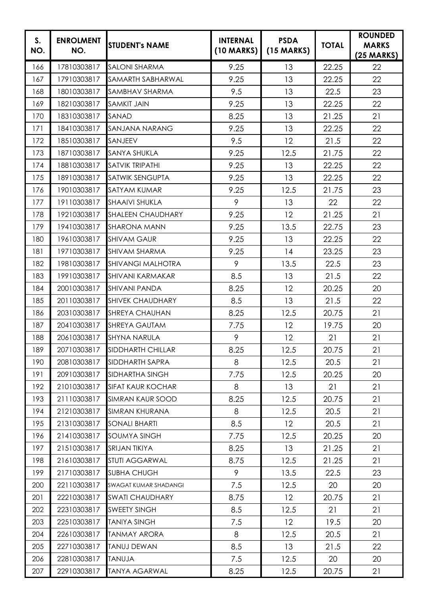| S.<br>NO. | <b>ENROLMENT</b><br>NO. | <b>STUDENT's NAME</b>    | <b>INTERNAL</b><br>$(10$ MARKS) | <b>PSDA</b><br>$(15$ MARKS) | <b>TOTAL</b> | <b>ROUNDED</b><br><b>MARKS</b><br>$(25 \text{ MARKS})$ |
|-----------|-------------------------|--------------------------|---------------------------------|-----------------------------|--------------|--------------------------------------------------------|
| 166       | 17810303817             | <b>SALONI SHARMA</b>     | 9.25                            | 13                          | 22.25        | 22                                                     |
| 167       | 17910303817             | SAMARTH SABHARWAL        | 9.25                            | 13                          | 22.25        | 22                                                     |
| 168       | 18010303817             | SAMBHAV SHARMA           | 9.5                             | 13                          | 22.5         | 23                                                     |
| 169       | 18210303817             | <b>SAMKIT JAIN</b>       | 9.25                            | 13                          | 22.25        | 22                                                     |
| 170       | 18310303817             | SANAD                    | 8.25                            | 13                          | 21.25        | 21                                                     |
| 171       | 18410303817             | SANJANA NARANG           | 9.25                            | 13                          | 22.25        | 22                                                     |
| 172       | 18510303817             | SANJEEV                  | 9.5                             | 12                          | 21.5         | 22                                                     |
| 173       | 18710303817             | <b>SANYA SHUKLA</b>      | 9.25                            | 12.5                        | 21.75        | 22                                                     |
| 174       | 18810303817             | SATVIK TRIPATHI          | 9.25                            | 13                          | 22.25        | 22                                                     |
| 175       | 18910303817             | <b>SATWIK SENGUPTA</b>   | 9.25                            | 13                          | 22.25        | 22                                                     |
| 176       | 19010303817             | <b>SATYAM KUMAR</b>      | 9.25                            | 12.5                        | 21.75        | 23                                                     |
| 177       | 19110303817             | <b>SHAAIVI SHUKLA</b>    | 9                               | 13                          | 22           | 22                                                     |
| 178       | 19210303817             | <b>SHALEEN CHAUDHARY</b> | 9.25                            | 12                          | 21.25        | 21                                                     |
| 179       | 19410303817             | <b>SHARONA MANN</b>      | 9.25                            | 13.5                        | 22.75        | 23                                                     |
| 180       | 19610303817             | <b>SHIVAM GAUR</b>       | 9.25                            | 13                          | 22.25        | 22                                                     |
| 181       | 19710303817             | <b>SHIVAM SHARMA</b>     | 9.25                            | 14                          | 23.25        | 23                                                     |
| 182       | 19810303817             | <b>SHIVANGI MALHOTRA</b> | 9                               | 13.5                        | 22.5         | 23                                                     |
| 183       | 19910303817             | <b>SHIVANI KARMAKAR</b>  | 8.5                             | 13                          | 21.5         | 22                                                     |
| 184       | 20010303817             | <b>SHIVANI PANDA</b>     | 8.25                            | 12                          | 20.25        | 20                                                     |
| 185       | 20110303817             | <b>SHIVEK CHAUDHARY</b>  | 8.5                             | 13                          | 21.5         | 22                                                     |
| 186       | 20310303817             | <b>SHREYA CHAUHAN</b>    | 8.25                            | 12.5                        | 20.75        | 21                                                     |
| 187       | 20410303817             | <b>SHREYA GAUTAM</b>     | 7.75                            | 12                          | 19.75        | 20                                                     |
| 188       | 20610303817             | <b>SHYNA NARULA</b>      | 9                               | 12                          | 21           | 21                                                     |
| 189       | 20710303817             | <b>SIDDHARTH CHILLAR</b> | 8.25                            | 12.5                        | 20.75        | 21                                                     |
| 190       | 20810303817             | SIDDHARTH SAPRA          | 8                               | 12.5                        | 20.5         | 21                                                     |
| 191       | 20910303817             | SIDHARTHA SINGH          | 7.75                            | 12.5                        | 20.25        | 20                                                     |
| 192       | 21010303817             | <b>SIFAT KAUR KOCHAR</b> | 8                               | 13                          | 21           | 21                                                     |
| 193       | 21110303817             | <b>SIMRAN KAUR SOOD</b>  | 8.25                            | 12.5                        | 20.75        | 21                                                     |
| 194       | 21210303817             | <b>SIMRAN KHURANA</b>    | 8                               | 12.5                        | 20.5         | 21                                                     |
| 195       | 21310303817             | <b>SONALI BHARTI</b>     | 8.5                             | 12                          | 20.5         | 21                                                     |
| 196       | 21410303817             | <b>SOUMYA SINGH</b>      | 7.75                            | 12.5                        | 20.25        | 20                                                     |
| 197       | 21510303817             | SRIJAN TIKIYA            | 8.25                            | 13                          | 21.25        | 21                                                     |
| 198       | 21610303817             | STUTI AGGARWAL           | 8.75                            | 12.5                        | 21.25        | 21                                                     |
| 199       | 21710303817             | <b>SUBHA CHUGH</b>       | 9                               | 13.5                        | 22.5         | 23                                                     |
| 200       | 22110303817             | SWAGAT KUMAR SHADANGI    | 7.5                             | 12.5                        | 20           | 20                                                     |
| 201       | 22210303817             | <b>SWATI CHAUDHARY</b>   | 8.75                            | 12                          | 20.75        | 21                                                     |
| 202       | 22310303817             | <b>SWEETY SINGH</b>      | 8.5                             | 12.5                        | 21           | 21                                                     |
| 203       | 22510303817             | <b>TANIYA SINGH</b>      | 7.5                             | 12                          | 19.5         | 20                                                     |
| 204       | 22610303817             | <b>TANMAY ARORA</b>      | 8                               | 12.5                        | 20.5         | 21                                                     |
| 205       | 22710303817             | <b>TANUJ DEWAN</b>       | 8.5                             | 13                          | 21.5         | 22                                                     |
| 206       | 22810303817             | <b>ALUVAT</b>            | 7.5                             | 12.5                        | 20           | 20                                                     |
| 207       | 22910303817             | <b>TANYA AGARWAL</b>     | 8.25                            | 12.5                        | 20.75        | 21                                                     |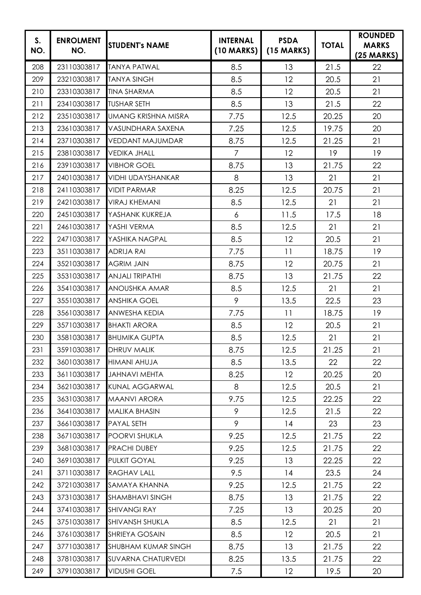| S.<br>NO. | <b>ENROLMENT</b><br>NO. | <b>STUDENT's NAME</b>      | <b>INTERNAL</b><br>$(10$ MARKS) | <b>PSDA</b><br>$(15$ MARKS) | <b>TOTAL</b> | <b>ROUNDED</b><br><b>MARKS</b><br>$(25 \text{ MARKS})$ |
|-----------|-------------------------|----------------------------|---------------------------------|-----------------------------|--------------|--------------------------------------------------------|
| 208       | 23110303817             | <b>TANYA PATWAL</b>        | 8.5                             | 13                          | 21.5         | 22                                                     |
| 209       | 23210303817             | <b>TANYA SINGH</b>         | 8.5                             | 12                          | 20.5         | 21                                                     |
| 210       | 23310303817             | <b>TINA SHARMA</b>         | 8.5                             | 12                          | 20.5         | 21                                                     |
| 211       | 23410303817             | <b>TUSHAR SETH</b>         | 8.5                             | 13                          | 21.5         | 22                                                     |
| 212       | 23510303817             | <b>UMANG KRISHNA MISRA</b> | 7.75                            | 12.5                        | 20.25        | 20                                                     |
| 213       | 23610303817             | VASUNDHARA SAXENA          | 7.25                            | 12.5                        | 19.75        | 20                                                     |
| 214       | 23710303817             | <b>VEDDANT MAJUMDAR</b>    | 8.75                            | 12.5                        | 21.25        | 21                                                     |
| 215       | 23810303817             | <b>VEDIKA JHALL</b>        | $\overline{7}$                  | 12                          | 19           | 19                                                     |
| 216       | 23910303817             | <b>VIBHOR GOEL</b>         | 8.75                            | 13                          | 21.75        | 22                                                     |
| 217       | 24010303817             | <b>VIDHI UDAYSHANKAR</b>   | 8                               | 13                          | 21           | 21                                                     |
| 218       | 24110303817             | <b>VIDIT PARMAR</b>        | 8.25                            | 12.5                        | 20.75        | 21                                                     |
| 219       | 24210303817             | <b>VIRAJ KHEMANI</b>       | 8.5                             | 12.5                        | 21           | 21                                                     |
| 220       | 24510303817             | YASHANK KUKREJA            | 6                               | 11.5                        | 17.5         | 18                                                     |
| 221       | 24610303817             | YASHI VERMA                | 8.5                             | 12.5                        | 21           | 21                                                     |
| 222       | 24710303817             | YASHIKA NAGPAL             | 8.5                             | 12                          | 20.5         | 21                                                     |
| 223       | 35110303817             | <b>ADRIJA RAI</b>          | 7.75                            | 11                          | 18.75        | 19                                                     |
| 224       | 35210303817             | <b>AGRIM JAIN</b>          | 8.75                            | 12                          | 20.75        | 21                                                     |
| 225       | 35310303817             | <b>ANJALI TRIPATHI</b>     | 8.75                            | 13                          | 21.75        | 22                                                     |
| 226       | 35410303817             | <b>ANOUSHKA AMAR</b>       | 8.5                             | 12.5                        | 21           | 21                                                     |
| 227       | 35510303817             | <b>ANSHIKA GOEL</b>        | 9                               | 13.5                        | 22.5         | 23                                                     |
| 228       | 35610303817             | <b>ANWESHA KEDIA</b>       | 7.75                            | 11                          | 18.75        | 19                                                     |
| 229       | 35710303817             | <b>BHAKTI ARORA</b>        | 8.5                             | 12                          | 20.5         | 21                                                     |
| 230       | 35810303817             | <b>BHUMIKA GUPTA</b>       | 8.5                             | 12.5                        | 21           | 21                                                     |
| 231       | 35910303817             | <b>DHRUV MALIK</b>         | 8.75                            | 12.5                        | 21.25        | 21                                                     |
| 232       | 36010303817             | HIMANI AHUJA               | 8.5                             | 13.5                        | 22           | 22                                                     |
| 233       | 36110303817             | <b>JAHNAVI MEHTA</b>       | 8.25                            | 12                          | 20.25        | 20                                                     |
| 234       | 36210303817             | <b>KUNAL AGGARWAL</b>      | 8                               | 12.5                        | 20.5         | 21                                                     |
| 235       | 36310303817             | <b>MAANVI ARORA</b>        | 9.75                            | 12.5                        | 22.25        | 22                                                     |
| 236       | 36410303817             | <b>MALIKA BHASIN</b>       | 9                               | 12.5                        | 21.5         | 22                                                     |
| 237       | 36610303817             | PAYAL SETH                 | 9                               | 14                          | 23           | 23                                                     |
| 238       | 36710303817             | POORVI SHUKLA              | 9.25                            | 12.5                        | 21.75        | 22                                                     |
| 239       | 36810303817             | PRACHI DUBEY               | 9.25                            | 12.5                        | 21.75        | 22                                                     |
| 240       | 36910303817             | PULKIT GOYAL               | 9.25                            | 13                          | 22.25        | 22                                                     |
| 241       | 37110303817             | <b>RAGHAV LALL</b>         | 9.5                             | 14                          | 23.5         | 24                                                     |
| 242       | 37210303817             | SAMAYA KHANNA              | 9.25                            | 12.5                        | 21.75        | 22                                                     |
| 243       | 37310303817             | <b>SHAMBHAVI SINGH</b>     | 8.75                            | 13                          | 21.75        | 22                                                     |
| 244       | 37410303817             | <b>SHIVANGI RAY</b>        | 7.25                            | 13                          | 20.25        | 20                                                     |
| 245       | 37510303817             | SHIVANSH SHUKLA            | 8.5                             | 12.5                        | 21           | 21                                                     |
| 246       | 37610303817             | <b>SHRIEYA GOSAIN</b>      | 8.5                             | 12                          | 20.5         | 21                                                     |
| 247       | 37710303817             | SHUBHAM KUMAR SINGH        | 8.75                            | 13                          | 21.75        | 22                                                     |
| 248       | 37810303817             | <b>SUVARNA CHATURVEDI</b>  | 8.25                            | 13.5                        | 21.75        | 22                                                     |
| 249       | 37910303817             | <b>VIDUSHI GOEL</b>        | 7.5                             | 12                          | 19.5         | 20                                                     |